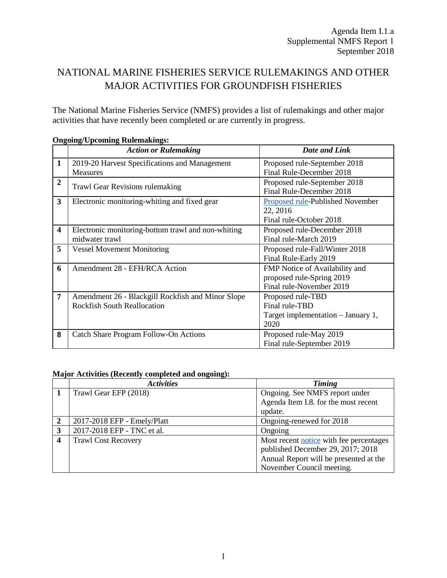## NATIONAL MARINE FISHERIES SERVICE RULEMAKINGS AND OTHER MAJOR ACTIVITIES FOR GROUNDFISH FISHERIES

The National Marine Fisheries Service (NMFS) provides a list of rulemakings and other major activities that have recently been completed or are currently in progress.

|                         | ондонід ереоннид кикінакшды<br><b>Action or Rulemaking</b> | Date and Link                      |  |  |  |  |  |  |  |  |
|-------------------------|------------------------------------------------------------|------------------------------------|--|--|--|--|--|--|--|--|
|                         |                                                            |                                    |  |  |  |  |  |  |  |  |
| 1                       | 2019-20 Harvest Specifications and Management              | Proposed rule-September 2018       |  |  |  |  |  |  |  |  |
|                         | <b>Measures</b>                                            | Final Rule-December 2018           |  |  |  |  |  |  |  |  |
| $\overline{2}$          |                                                            | Proposed rule-September 2018       |  |  |  |  |  |  |  |  |
|                         | <b>Trawl Gear Revisions rulemaking</b>                     | Final Rule-December 2018           |  |  |  |  |  |  |  |  |
| 3                       | Electronic monitoring-whiting and fixed gear               | Proposed rule-Published November   |  |  |  |  |  |  |  |  |
|                         |                                                            | 22, 2016                           |  |  |  |  |  |  |  |  |
|                         |                                                            | Final rule-October 2018            |  |  |  |  |  |  |  |  |
| $\overline{\mathbf{4}}$ | Electronic monitoring-bottom trawl and non-whiting         | Proposed rule-December 2018        |  |  |  |  |  |  |  |  |
|                         | midwater trawl                                             | Final rule-March 2019              |  |  |  |  |  |  |  |  |
| 5                       | <b>Vessel Movement Monitoring</b>                          | Proposed rule-Fall/Winter 2018     |  |  |  |  |  |  |  |  |
|                         |                                                            | Final Rule-Early 2019              |  |  |  |  |  |  |  |  |
| 6                       | Amendment 28 - EFH/RCA Action                              | FMP Notice of Availability and     |  |  |  |  |  |  |  |  |
|                         |                                                            | proposed rule-Spring 2019          |  |  |  |  |  |  |  |  |
|                         |                                                            | Final rule-November 2019           |  |  |  |  |  |  |  |  |
| 7                       | Amendment 26 - Blackgill Rockfish and Minor Slope          | Proposed rule-TBD                  |  |  |  |  |  |  |  |  |
|                         | <b>Rockfish South Reallocation</b>                         | Final rule-TBD                     |  |  |  |  |  |  |  |  |
|                         |                                                            | Target implementation – January 1, |  |  |  |  |  |  |  |  |
|                         |                                                            | 2020                               |  |  |  |  |  |  |  |  |
| 8                       | Catch Share Program Follow-On Actions                      | Proposed rule-May 2019             |  |  |  |  |  |  |  |  |
|                         |                                                            | Final rule-September 2019          |  |  |  |  |  |  |  |  |

## **Ongoing/Upcoming Rulemakings:**

## **Major Activities (Recently completed and ongoing):**

|   | <b>Activities</b>           | Timing                                  |  |  |  |  |  |  |
|---|-----------------------------|-----------------------------------------|--|--|--|--|--|--|
|   | Trawl Gear EFP (2018)       | Ongoing. See NMFS report under          |  |  |  |  |  |  |
|   |                             | Agenda Item I.8. for the most recent    |  |  |  |  |  |  |
|   |                             | update.                                 |  |  |  |  |  |  |
| 2 | 2017-2018 EFP - Emely/Platt | Ongoing-renewed for 2018                |  |  |  |  |  |  |
| 3 | 2017-2018 EFP - TNC et al.  | Ongoing                                 |  |  |  |  |  |  |
| 4 | <b>Trawl Cost Recovery</b>  | Most recent notice with fee percentages |  |  |  |  |  |  |
|   |                             | published December 29, 2017; 2018       |  |  |  |  |  |  |
|   |                             | Annual Report will be presented at the  |  |  |  |  |  |  |
|   |                             | November Council meeting.               |  |  |  |  |  |  |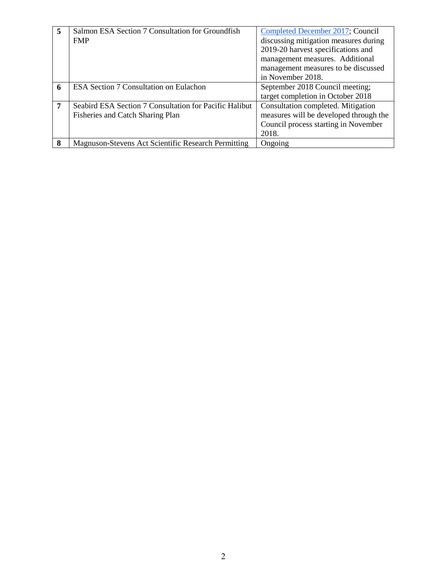| 5 | Salmon ESA Section 7 Consultation for Groundfish       | Completed December 2017; Council       |
|---|--------------------------------------------------------|----------------------------------------|
|   | <b>FMP</b>                                             | discussing mitigation measures during  |
|   |                                                        | 2019-20 harvest specifications and     |
|   |                                                        | management measures. Additional        |
|   |                                                        | management measures to be discussed    |
|   |                                                        | in November 2018.                      |
| 6 | ESA Section 7 Consultation on Eulachon                 | September 2018 Council meeting;        |
|   |                                                        | target completion in October 2018      |
| 7 | Seabird ESA Section 7 Consultation for Pacific Halibut | Consultation completed. Mitigation     |
|   | Fisheries and Catch Sharing Plan                       | measures will be developed through the |
|   |                                                        | Council process starting in November   |
|   |                                                        | 2018.                                  |
| 8 | Magnuson-Stevens Act Scientific Research Permitting    | Ongoing                                |